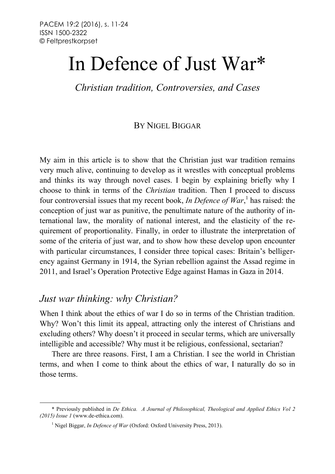# In Defence of Just War\*

*Christian tradition, Controversies, and Cases*

## BY NIGEL BIGGAR

My aim in this article is to show that the Christian just war tradition remains very much alive, continuing to develop as it wrestles with conceptual problems and thinks its way through novel cases. I begin by explaining briefly why I choose to think in terms of the *Christian* tradition. Then I proceed to discuss four controversial issues that my recent book, *In Defence of War*,<sup>1</sup> has raised: the conception of just war as punitive, the penultimate nature of the authority of international law, the morality of national interest, and the elasticity of the requirement of proportionality. Finally, in order to illustrate the interpretation of some of the criteria of just war, and to show how these develop upon encounter with particular circumstances, I consider three topical cases: Britain's belligerency against Germany in 1914, the Syrian rebellion against the Assad regime in 2011, and Israel"s Operation Protective Edge against Hamas in Gaza in 2014.

## *Just war thinking: why Christian?*

 $\overline{a}$ 

When I think about the ethics of war I do so in terms of the Christian tradition. Why? Won't this limit its appeal, attracting only the interest of Christians and excluding others? Why doesn't it proceed in secular terms, which are universally intelligible and accessible? Why must it be religious, confessional, sectarian?

There are three reasons. First, I am a Christian. I see the world in Christian terms, and when I come to think about the ethics of war, I naturally do so in those terms.

<sup>\*</sup> Previously published in *De Ethica. A Journal of Philosophical, Theological and Applied Ethics Vol 2 (2015) Issue 1* (www.de-ethica.com).

<sup>&</sup>lt;sup>1</sup> Nigel Biggar, *In Defence of War* (Oxford: Oxford University Press, 2013).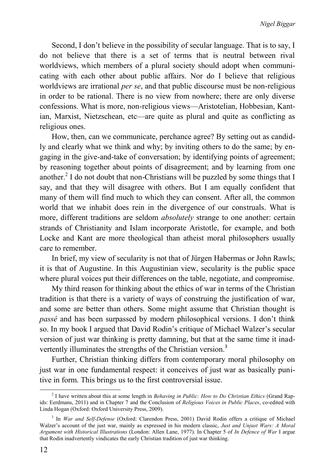Second, I don"t believe in the possibility of secular language. That is to say, I do not believe that there is a set of terms that is neutral between rival worldviews, which members of a plural society should adopt when communicating with each other about public affairs. Nor do I believe that religious worldviews are irrational *per se*, and that public discourse must be non-religious in order to be rational. There is no view from nowhere; there are only diverse confessions. What is more, non-religious views—Aristotelian, Hobbesian, Kantian, Marxist, Nietzschean, etc—are quite as plural and quite as conflicting as religious ones.

How, then, can we communicate, perchance agree? By setting out as candidly and clearly what we think and why; by inviting others to do the same; by engaging in the give-and-take of conversation; by identifying points of agreement; by reasoning together about points of disagreement; and by learning from one another.<sup>2</sup> I do not doubt that non-Christians will be puzzled by some things that I say, and that they will disagree with others. But I am equally confident that many of them will find much to which they can consent. After all, the common world that we inhabit does rein in the divergence of our construals. What is more, different traditions are seldom *absolutely* strange to one another: certain strands of Christianity and Islam incorporate Aristotle, for example, and both Locke and Kant are more theological than atheist moral philosophers usually care to remember.

In brief, my view of secularity is not that of Jürgen Habermas or John Rawls; it is that of Augustine. In this Augustinian view, secularity is the public space where plural voices put their differences on the table, negotiate, and compromise.

My third reason for thinking about the ethics of war in terms of the Christian tradition is that there is a variety of ways of construing the justification of war, and some are better than others. Some might assume that Christian thought is *passé* and has been surpassed by modern philosophical versions. I don"t think so. In my book I argued that David Rodin"s critique of Michael Walzer"s secular version of just war thinking is pretty damning, but that at the same time it inadvertently illuminates the strengths of the Christian version.<sup>3</sup>

Further, Christian thinking differs from contemporary moral philosophy on just war in one fundamental respect: it conceives of just war as basically punitive in form. This brings us to the first controversial issue.

 <sup>2</sup> I have written about this at some length in *Behaving in Public: How to Do Christian Ethics* (Grand Rapids: Eerdmans, 2011) and in Chapter 7 and the Conclusion of *Religious Voices in Public Places*, co-edited with Linda Hogan (Oxford: Oxford University Press, 2009).

<sup>&</sup>lt;sup>3</sup> In *War and Self-Defense* (Oxford: Clarendon Press, 2001) David Rodin offers a critique of Michael Walzer"s account of the just war, mainly as expressed in his modern classic, *Just and Unjust Wars: A Moral Argument with Historical Illustrations* (London: Allen Lane, 1977). In Chapter 5 of *In Defence of War* I argue that Rodin inadvertently vindicates the early Christian tradition of just war thinking.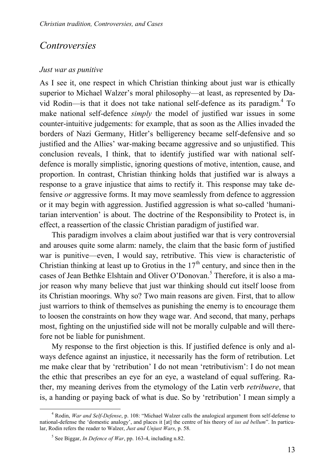## *Controversies*

#### *Just war as punitive*

As I see it, one respect in which Christian thinking about just war is ethically superior to Michael Walzer's moral philosophy—at least, as represented by David Rodin—is that it does not take national self-defence as its paradigm. <sup>4</sup> To make national self-defence *simply* the model of justified war issues in some counter-intuitive judgements: for example, that as soon as the Allies invaded the borders of Nazi Germany, Hitler"s belligerency became self-defensive and so justified and the Allies" war-making became aggressive and so unjustified. This conclusion reveals, I think, that to identify justified war with national selfdefence is morally simplistic, ignoring questions of motive, intention, cause, and proportion. In contrast, Christian thinking holds that justified war is always a response to a grave injustice that aims to rectify it. This response may take defensive *or* aggressive forms. It may move seamlessly from defence to aggression or it may begin with aggression. Justified aggression is what so-called "humanitarian intervention" is about. The doctrine of the Responsibility to Protect is, in effect, a reassertion of the classic Christian paradigm of justified war.

This paradigm involves a claim about justified war that is very controversial and arouses quite some alarm: namely, the claim that the basic form of justified war is punitive—even, I would say, retributive. This view is characteristic of Christian thinking at least up to Grotius in the  $17<sup>th</sup>$  century, and since then in the cases of Jean Bethke Elshtain and Oliver O'Donovan.<sup>5</sup> Therefore, it is also a major reason why many believe that just war thinking should cut itself loose from its Christian moorings. Why so? Two main reasons are given. First, that to allow just warriors to think of themselves as punishing the enemy is to encourage them to loosen the constraints on how they wage war. And second, that many, perhaps most, fighting on the unjustified side will not be morally culpable and will therefore not be liable for punishment.

My response to the first objection is this. If justified defence is only and always defence against an injustice, it necessarily has the form of retribution. Let me make clear that by "retribution" I do not mean "retributivism": I do not mean the ethic that prescribes an eye for an eye, a wasteland of equal suffering. Rather, my meaning derives from the etymology of the Latin verb *retribuere*, that is, a handing or paying back of what is due. So by "retribution" I mean simply a

 <sup>4</sup> Rodin, *War and Self-Defense*, p. 108: "Michael Walzer calls the analogical argument from self-defense to national-defense the "domestic analogy", and places it [at] the centre of his theory of *ius ad bellum*". In particular, Rodin refers the reader to Walzer, *Just and Unjust Wars*, p. 58.

<sup>5</sup> See Biggar, *In Defence of War*, pp. 163-4, including n.82.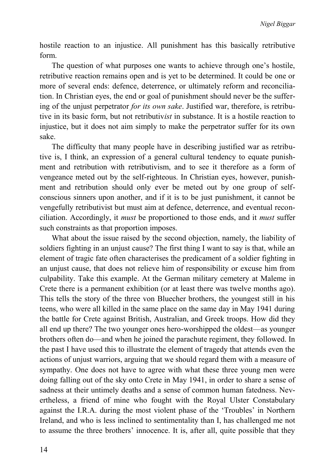hostile reaction to an injustice. All punishment has this basically retributive form.

The question of what purposes one wants to achieve through one"s hostile, retributive reaction remains open and is yet to be determined. It could be one or more of several ends: defence, deterrence, or ultimately reform and reconciliation. In Christian eyes, the end or goal of punishment should never be the suffering of the unjust perpetrator *for its own sake*. Justified war, therefore, is retributive in its basic form, but not retributiv*ist* in substance. It is a hostile reaction to injustice, but it does not aim simply to make the perpetrator suffer for its own sake.

The difficulty that many people have in describing justified war as retributive is, I think, an expression of a general cultural tendency to equate punishment and retribution with retributivism, and to see it therefore as a form of vengeance meted out by the self-righteous. In Christian eyes, however, punishment and retribution should only ever be meted out by one group of selfconscious sinners upon another, and if it is to be just punishment, it cannot be vengefully retributivist but must aim at defence, deterrence, and eventual reconciliation. Accordingly, it *must* be proportioned to those ends, and it *must* suffer such constraints as that proportion imposes.

What about the issue raised by the second objection, namely, the liability of soldiers fighting in an unjust cause? The first thing I want to say is that, while an element of tragic fate often characterises the predicament of a soldier fighting in an unjust cause, that does not relieve him of responsibility or excuse him from culpability. Take this example. At the German military cemetery at Maleme in Crete there is a permanent exhibition (or at least there was twelve months ago). This tells the story of the three von Bluecher brothers, the youngest still in his teens, who were all killed in the same place on the same day in May 1941 during the battle for Crete against British, Australian, and Greek troops. How did they all end up there? The two younger ones hero-worshipped the oldest—as younger brothers often do—and when he joined the parachute regiment, they followed. In the past I have used this to illustrate the element of tragedy that attends even the actions of unjust warriors, arguing that we should regard them with a measure of sympathy. One does not have to agree with what these three young men were doing falling out of the sky onto Crete in May 1941, in order to share a sense of sadness at their untimely deaths and a sense of common human fatedness. Nevertheless, a friend of mine who fought with the Royal Ulster Constabulary against the I.R.A. during the most violent phase of the "Troubles" in Northern Ireland, and who is less inclined to sentimentality than I, has challenged me not to assume the three brothers" innocence. It is, after all, quite possible that they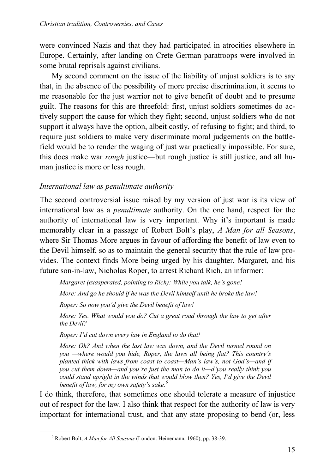were convinced Nazis and that they had participated in atrocities elsewhere in Europe. Certainly, after landing on Crete German paratroops were involved in some brutal reprisals against civilians.

My second comment on the issue of the liability of unjust soldiers is to say that, in the absence of the possibility of more precise discrimination, it seems to me reasonable for the just warrior not to give benefit of doubt and to presume guilt. The reasons for this are threefold: first, unjust soldiers sometimes do actively support the cause for which they fight; second, unjust soldiers who do not support it always have the option, albeit costly, of refusing to fight; and third, to require just soldiers to make very discriminate moral judgements on the battlefield would be to render the waging of just war practically impossible. For sure, this does make war *rough* justice—but rough justice is still justice, and all human justice is more or less rough.

### *International law as penultimate authority*

The second controversial issue raised by my version of just war is its view of international law as a *penultimate* authority. On the one hand, respect for the authority of international law is very important. Why it's important is made memorably clear in a passage of Robert Bolt"s play, *A Man for all Seasons*, where Sir Thomas More argues in favour of affording the benefit of law even to the Devil himself, so as to maintain the general security that the rule of law provides. The context finds More being urged by his daughter, Margaret, and his future son-in-law, Nicholas Roper, to arrest Richard Rich, an informer:

*Margaret (exasperated, pointing to Rich): While you talk, he's gone!*

*More: And go he should if he was the Devil himself until he broke the law!*

*Roper: So now you'd give the Devil benefit of law!*

*More: Yes. What would you do? Cut a great road through the law to get after the Devil?*

*Roper: I'd cut down every law in England to do that!*

*More: Oh? And when the last law was down, and the Devil turned round on you —where would you hide, Roper, the laws all being flat? This country's planted thick with laws from coast to coast—Man's law's, not God's—and if you cut them down—and you're just the man to do it—d'you really think you could stand upright in the winds that would blow then? Yes, I'd give the Devil benefit of law, for my own safety's sake.<sup>6</sup>*

I do think, therefore, that sometimes one should tolerate a measure of injustice out of respect for the law. I also think that respect for the authority of law is very important for international trust, and that any state proposing to bend (or, less

 <sup>6</sup> Robert Bolt, *A Man for All Seasons* (London: Heinemann, 1960), pp. 38-39.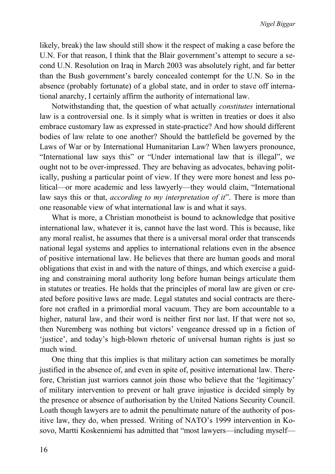likely, break) the law should still show it the respect of making a case before the U.N. For that reason, I think that the Blair government's attempt to secure a second U.N. Resolution on Iraq in March 2003 was absolutely right, and far better than the Bush government"s barely concealed contempt for the U.N. So in the absence (probably fortunate) of a global state, and in order to stave off international anarchy, I certainly affirm the authority of international law.

Notwithstanding that, the question of what actually *constitutes* international law is a controversial one. Is it simply what is written in treaties or does it also embrace customary law as expressed in state-practice? And how should different bodies of law relate to one another? Should the battlefield be governed by the Laws of War or by International Humanitarian Law? When lawyers pronounce, "International law says this" or "Under international law that is illegal", we ought not to be over-impressed. They are behaving as advocates, behaving politically, pushing a particular point of view. If they were more honest and less political—or more academic and less lawyerly—they would claim, "International law says this or that, *according to my interpretation of it*". There is more than one reasonable view of what international law is and what it says.

What is more, a Christian monotheist is bound to acknowledge that positive international law, whatever it is, cannot have the last word. This is because, like any moral realist, he assumes that there is a universal moral order that transcends national legal systems and applies to international relations even in the absence of positive international law. He believes that there are human goods and moral obligations that exist in and with the nature of things, and which exercise a guiding and constraining moral authority long before human beings articulate them in statutes or treaties. He holds that the principles of moral law are given or created before positive laws are made. Legal statutes and social contracts are therefore not crafted in a primordial moral vacuum. They are born accountable to a higher, natural law, and their word is neither first nor last. If that were not so, then Nuremberg was nothing but victors" vengeance dressed up in a fiction of "justice", and today"s high-blown rhetoric of universal human rights is just so much wind.

One thing that this implies is that military action can sometimes be morally justified in the absence of, and even in spite of, positive international law. Therefore, Christian just warriors cannot join those who believe that the "legitimacy" of military intervention to prevent or halt grave injustice is decided simply by the presence or absence of authorisation by the United Nations Security Council. Loath though lawyers are to admit the penultimate nature of the authority of positive law, they do, when pressed. Writing of NATO"s 1999 intervention in Kosovo, Martti Koskenniemi has admitted that "most lawyers—including myself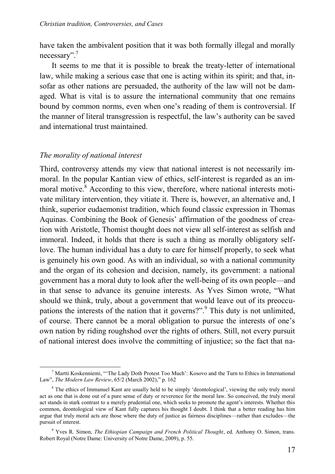have taken the ambivalent position that it was both formally illegal and morally necessary".<sup>7</sup>

It seems to me that it is possible to break the treaty-letter of international law, while making a serious case that one is acting within its spirit; and that, insofar as other nations are persuaded, the authority of the law will not be damaged. What is vital is to assure the international community that one remains bound by common norms, even when one's reading of them is controversial. If the manner of literal transgression is respectful, the law"s authority can be saved and international trust maintained.

#### *The morality of national interest*

Third, controversy attends my view that national interest is not necessarily immoral. In the popular Kantian view of ethics, self-interest is regarded as an immoral motive.<sup>8</sup> According to this view, therefore, where national interests motivate military intervention, they vitiate it. There is, however, an alternative and, I think, superior eudaemonist tradition, which found classic expression in Thomas Aquinas. Combining the Book of Genesis' affirmation of the goodness of creation with Aristotle, Thomist thought does not view all self-interest as selfish and immoral. Indeed, it holds that there is such a thing as morally obligatory selflove. The human individual has a duty to care for himself properly, to seek what is genuinely his own good. As with an individual, so with a national community and the organ of its cohesion and decision, namely, its government: a national government has a moral duty to look after the well-being of its own people—and in that sense to advance its genuine interests. As Yves Simon wrote, "What should we think, truly, about a government that would leave out of its preoccupations the interests of the nation that it governs?".<sup>9</sup> This duty is not unlimited, of course. There cannot be a moral obligation to pursue the interests of one"s own nation by riding roughshod over the rights of others. Still, not every pursuit of national interest does involve the committing of injustice; so the fact that na-

 <sup>7</sup> Martti Koskenniemi, ""The Lady Doth Protest Too Much": Kosovo and the Turn to Ethics in International Law", *The Modern Law Review*, 65/2 (March 2002)," p. 162

<sup>&</sup>lt;sup>8</sup> The ethics of Immanuel Kant are usually held to be simply 'deontological', viewing the only truly moral act as one that is done out of a pure sense of duty or reverence for the moral law. So conceived, the truly moral act stands in stark contrast to a merely prudential one, which seeks to promote the agent"s interests. Whether this common, deontological view of Kant fully captures his thought I doubt. I think that a better reading has him argue that truly moral acts are those where the duty of justice as fairness disciplines—rather than excludes—the pursuit of interest.

<sup>9</sup> Yves R. Simon, *The Ethiopian Campaign and French Political Thought*, ed. Anthony O. Simon, trans. Robert Royal (Notre Dame: University of Notre Dame, 2009), p. 55.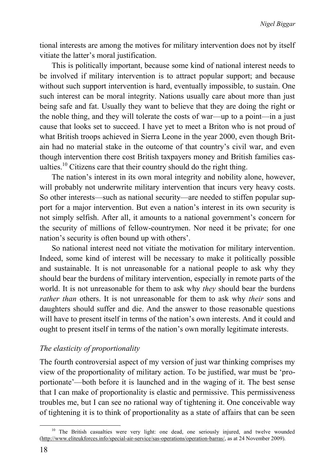tional interests are among the motives for military intervention does not by itself vitiate the latter"s moral justification.

This is politically important, because some kind of national interest needs to be involved if military intervention is to attract popular support; and because without such support intervention is hard, eventually impossible, to sustain. One such interest can be moral integrity. Nations usually care about more than just being safe and fat. Usually they want to believe that they are doing the right or the noble thing, and they will tolerate the costs of war—up to a point—in a just cause that looks set to succeed. I have yet to meet a Briton who is not proud of what British troops achieved in Sierra Leone in the year 2000, even though Britain had no material stake in the outcome of that country"s civil war, and even though intervention there cost British taxpayers money and British families casualties.<sup>10</sup> Citizens care that their country should do the right thing.

The nation"s interest in its own moral integrity and nobility alone, however, will probably not underwrite military intervention that incurs very heavy costs. So other interests—such as national security—are needed to stiffen popular support for a major intervention. But even a nation"s interest in its own security is not simply selfish. After all, it amounts to a national government's concern for the security of millions of fellow-countrymen. Nor need it be private; for one nation's security is often bound up with others'.

So national interest need not vitiate the motivation for military intervention. Indeed, some kind of interest will be necessary to make it politically possible and sustainable. It is not unreasonable for a national people to ask why they should bear the burdens of military intervention, especially in remote parts of the world. It is not unreasonable for them to ask why *they* should bear the burdens *rather than* others. It is not unreasonable for them to ask why *their* sons and daughters should suffer and die. And the answer to those reasonable questions will have to present itself in terms of the nation's own interests. And it could and ought to present itself in terms of the nation"s own morally legitimate interests.

#### *The elasticity of proportionality*

The fourth controversial aspect of my version of just war thinking comprises my view of the proportionality of military action. To be justified, war must be "proportionate"—both before it is launched and in the waging of it. The best sense that I can make of proportionality is elastic and permissive. This permissiveness troubles me, but I can see no rational way of tightening it. One conceivable way of tightening it is to think of proportionality as a state of affairs that can be seen

 <sup>10</sup> The British casualties were very light: one dead, one seriously injured, and twelve wounded [\(http://www.eliteukforces.info/special-air-service/sas-operations/operation-barras/,](http://www.eliteukforces.info/special-air-service/sas-operations/operation-barras/) as at 24 November 2009).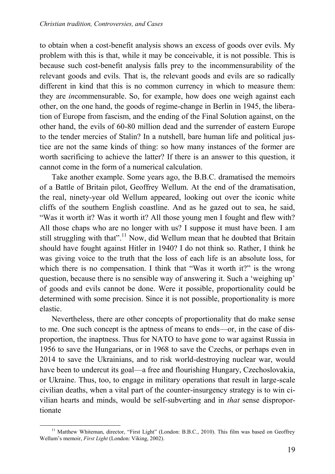to obtain when a cost-benefit analysis shows an excess of goods over evils. My problem with this is that, while it may be conceivable, it is not possible. This is because such cost-benefit analysis falls prey to the incommensurability of the relevant goods and evils. That is, the relevant goods and evils are so radically different in kind that this is no common currency in which to measure them: they are *in*commensurable. So, for example, how does one weigh against each other, on the one hand, the goods of regime-change in Berlin in 1945, the liberation of Europe from fascism, and the ending of the Final Solution against, on the other hand, the evils of 60-80 million dead and the surrender of eastern Europe to the tender mercies of Stalin? In a nutshell, bare human life and political justice are not the same kinds of thing: so how many instances of the former are worth sacrificing to achieve the latter? If there is an answer to this question, it cannot come in the form of a numerical calculation.

Take another example. Some years ago, the B.B.C. dramatised the memoirs of a Battle of Britain pilot, Geoffrey Wellum. At the end of the dramatisation, the real, ninety-year old Wellum appeared, looking out over the iconic white cliffs of the southern English coastline. And as he gazed out to sea, he said, "Was it worth it? Was it worth it? All those young men I fought and flew with? All those chaps who are no longer with us? I suppose it must have been. I am still struggling with that".<sup>11</sup> Now, did Wellum mean that he doubted that Britain should have fought against Hitler in 1940? I do not think so. Rather, I think he was giving voice to the truth that the loss of each life is an absolute loss, for which there is no compensation. I think that "Was it worth it?" is the wrong question, because there is no sensible way of answering it. Such a 'weighing up' of goods and evils cannot be done. Were it possible, proportionality could be determined with some precision. Since it is not possible, proportionality is more elastic.

Nevertheless, there are other concepts of proportionality that do make sense to me. One such concept is the aptness of means to ends—or, in the case of disproportion, the inaptness. Thus for NATO to have gone to war against Russia in 1956 to save the Hungarians, or in 1968 to save the Czechs, or perhaps even in 2014 to save the Ukrainians, and to risk world-destroying nuclear war, would have been to undercut its goal—a free and flourishing Hungary, Czechoslovakia, or Ukraine. Thus, too, to engage in military operations that result in large-scale civilian deaths, when a vital part of the counter-insurgency strategy is to win civilian hearts and minds, would be self-subverting and in *that* sense disproportionate

<sup>&</sup>lt;sup>11</sup> Matthew Whiteman, director, "First Light" (London: B.B.C., 2010). This film was based on Geoffrey Wellum"s memoir, *First Light* (London: Viking, 2002).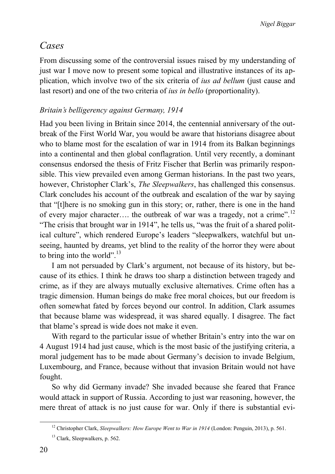# *Cases*

From discussing some of the controversial issues raised by my understanding of just war I move now to present some topical and illustrative instances of its application, which involve two of the six criteria of *ius ad bellum* (just cause and last resort) and one of the two criteria of *ius in bello* (proportionality).

## *Britain's belligerency against Germany, 1914*

Had you been living in Britain since 2014, the centennial anniversary of the outbreak of the First World War, you would be aware that historians disagree about who to blame most for the escalation of war in 1914 from its Balkan beginnings into a continental and then global conflagration. Until very recently, a dominant consensus endorsed the thesis of Fritz Fischer that Berlin was primarily responsible. This view prevailed even among German historians. In the past two years, however, Christopher Clark"s, *The Sleepwalkers*, has challenged this consensus. Clark concludes his account of the outbreak and escalation of the war by saying that "[t]here is no smoking gun in this story; or, rather, there is one in the hand of every major character…. the outbreak of war was a tragedy, not a crime".<sup>12</sup> "The crisis that brought war in 1914", he tells us, "was the fruit of a shared political culture", which rendered Europe's leaders "sleepwalkers, watchful but unseeing, haunted by dreams, yet blind to the reality of the horror they were about to bring into the world".<sup>13</sup>

I am not persuaded by Clark"s argument, not because of its history, but because of its ethics. I think he draws too sharp a distinction between tragedy and crime, as if they are always mutually exclusive alternatives. Crime often has a tragic dimension. Human beings do make free moral choices, but our freedom is often somewhat fated by forces beyond our control. In addition, Clark assumes that because blame was widespread, it was shared equally. I disagree. The fact that blame"s spread is wide does not make it even.

With regard to the particular issue of whether Britain's entry into the war on 4 August 1914 had just cause, which is the most basic of the justifying criteria, a moral judgement has to be made about Germany"s decision to invade Belgium, Luxembourg, and France, because without that invasion Britain would not have fought.

So why did Germany invade? She invaded because she feared that France would attack in support of Russia. According to just war reasoning, however, the mere threat of attack is no just cause for war. Only if there is substantial evi-

<sup>&</sup>lt;sup>12</sup> Christopher Clark, *Sleepwalkers: How Europe Went to War in 1914* (London: Penguin, 2013), p. 561.

<sup>&</sup>lt;sup>13</sup> Clark, Sleepwalkers, p. 562.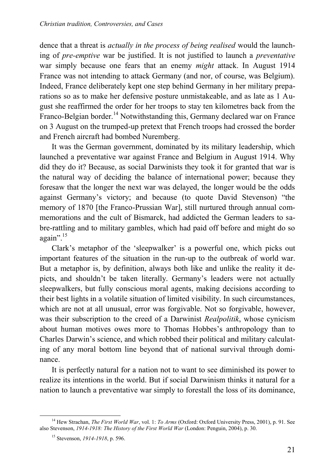dence that a threat is *actually in the process of being realised* would the launching of *pre-emptive* war be justified. It is not justified to launch a *preventative*  war simply because one fears that an enemy *might* attack. In August 1914 France was not intending to attack Germany (and nor, of course, was Belgium). Indeed, France deliberately kept one step behind Germany in her military preparations so as to make her defensive posture unmistakeable, and as late as 1 August she reaffirmed the order for her troops to stay ten kilometres back from the Franco-Belgian border.<sup>14</sup> Notwithstanding this, Germany declared war on France on 3 August on the trumped-up pretext that French troops had crossed the border and French aircraft had bombed Nuremberg.

It was the German government, dominated by its military leadership, which launched a preventative war against France and Belgium in August 1914. Why did they do it? Because, as social Darwinists they took it for granted that war is the natural way of deciding the balance of international power; because they foresaw that the longer the next war was delayed, the longer would be the odds against Germany"s victory; and because (to quote David Stevenson) "the memory of 1870 [the Franco-Prussian War], still nurtured through annual commemorations and the cult of Bismarck, had addicted the German leaders to sabre-rattling and to military gambles, which had paid off before and might do so again" $^{15}$ 

Clark's metaphor of the 'sleepwalker' is a powerful one, which picks out important features of the situation in the run-up to the outbreak of world war. But a metaphor is, by definition, always both like and unlike the reality it depicts, and shouldn"t be taken literally. Germany"s leaders were not actually sleepwalkers, but fully conscious moral agents, making decisions according to their best lights in a volatile situation of limited visibility. In such circumstances, which are not at all unusual, error was forgivable. Not so forgivable, however, was their subscription to the creed of a Darwinist *Realpolitik*, whose cynicism about human motives owes more to Thomas Hobbes"s anthropology than to Charles Darwin"s science, and which robbed their political and military calculating of any moral bottom line beyond that of national survival through dominance.

It is perfectly natural for a nation not to want to see diminished its power to realize its intentions in the world. But if social Darwinism thinks it natural for a nation to launch a preventative war simply to forestall the loss of its dominance,

<sup>&</sup>lt;sup>14</sup> Hew Strachan, *The First World War*, vol. 1: *To Arms* (Oxford: Oxford University Press, 2001), p. 91. See also Stevenson, *1914-1918: The History of the First World War* (London: Penguin, 2004), p. 30.

<sup>15</sup> Stevenson, *1914-1918*, p. 596.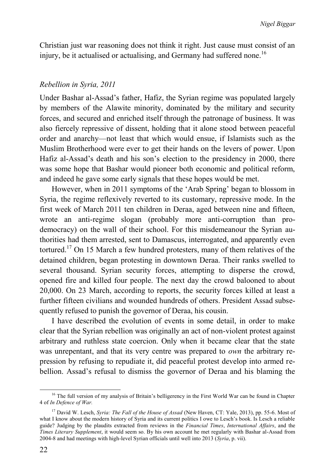Christian just war reasoning does not think it right. Just cause must consist of an injury, be it actualised or actualising, and Germany had suffered none.<sup>16</sup>

#### *Rebellion in Syria, 2011*

Under Bashar al-Assad"s father, Hafiz, the Syrian regime was populated largely by members of the Alawite minority, dominated by the military and security forces, and secured and enriched itself through the patronage of business. It was also fiercely repressive of dissent, holding that it alone stood between peaceful order and anarchy—not least that which would ensue, if Islamists such as the Muslim Brotherhood were ever to get their hands on the levers of power. Upon Hafiz al-Assad's death and his son's election to the presidency in 2000, there was some hope that Bashar would pioneer both economic and political reform, and indeed he gave some early signals that these hopes would be met.

However, when in 2011 symptoms of the "Arab Spring" began to blossom in Syria, the regime reflexively reverted to its customary, repressive mode. In the first week of March 2011 ten children in Deraa, aged between nine and fifteen, wrote an anti-regime slogan (probably more anti-corruption than prodemocracy) on the wall of their school. For this misdemeanour the Syrian authorities had them arrested, sent to Damascus, interrogated, and apparently even tortured.<sup>17</sup> On 15 March a few hundred protesters, many of them relatives of the detained children, began protesting in downtown Deraa. Their ranks swelled to several thousand. Syrian security forces, attempting to disperse the crowd, opened fire and killed four people. The next day the crowd balooned to about 20,000. On 23 March, according to reports, the security forces killed at least a further fifteen civilians and wounded hundreds of others. President Assad subsequently refused to punish the governor of Deraa, his cousin.

I have described the evolution of events in some detail, in order to make clear that the Syrian rebellion was originally an act of non-violent protest against arbitrary and ruthless state coercion. Only when it became clear that the state was unrepentant, and that its very centre was prepared to *own* the arbitrary repression by refusing to repudiate it, did peaceful protest develop into armed rebellion. Assad"s refusal to dismiss the governor of Deraa and his blaming the

<sup>&</sup>lt;sup>16</sup> The full version of my analysis of Britain's belligerency in the First World War can be found in Chapter 4 of *In Defence of War.*

<sup>17</sup> David W. Lesch, *Syria: The Fall of the House of Assad* (New Haven, CT: Yale, 2013), pp. 55-6. Most of what I know about the modern history of Syria and its current politics I owe to Lesch's book. Is Lesch a reliable guide? Judging by the plaudits extracted from reviews in the *Financial Times*, *International Affairs*, and the *Times Literary Supplement*, it would seem so. By his own account he met regularly with Bashar al-Assad from 2004-8 and had meetings with high-level Syrian officials until well into 2013 (*Syria*, p. vii).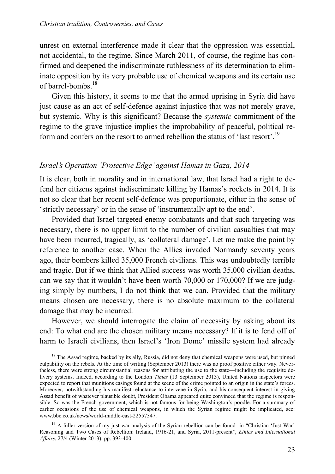unrest on external interference made it clear that the oppression was essential, not accidental, to the regime. Since March 2011, of course, the regime has confirmed and deepened the indiscriminate ruthlessness of its determination to eliminate opposition by its very probable use of chemical weapons and its certain use of barrel-bombs.<sup>18</sup>

Given this history, it seems to me that the armed uprising in Syria did have just cause as an act of self-defence against injustice that was not merely grave, but systemic. Why is this significant? Because the *systemic* commitment of the regime to the grave injustice implies the improbability of peaceful, political reform and confers on the resort to armed rebellion the status of 'last resort'.<sup>19</sup>

#### *Israel's Operation 'Protective Edge' against Hamas in Gaza, 2014*

It is clear, both in morality and in international law, that Israel had a right to defend her citizens against indiscriminate killing by Hamas"s rockets in 2014. It is not so clear that her recent self-defence was proportionate, either in the sense of "strictly necessary" or in the sense of "instrumentally apt to the end".

Provided that Israel targeted enemy combatants and that such targeting was necessary, there is no upper limit to the number of civilian casualties that may have been incurred, tragically, as 'collateral damage'. Let me make the point by reference to another case. When the Allies invaded Normandy seventy years ago, their bombers killed 35,000 French civilians. This was undoubtedly terrible and tragic. But if we think that Allied success was worth 35,000 civilian deaths, can we say that it wouldn"t have been worth 70,000 or 170,000? If we are judging simply by numbers, I do not think that we can. Provided that the military means chosen are necessary, there is no absolute maximum to the collateral damage that may be incurred.

However, we should interrogate the claim of necessity by asking about its end: To what end are the chosen military means necessary? If it is to fend off of harm to Israeli civilians, then Israel's 'Iron Dome' missile system had already

<sup>&</sup>lt;sup>18</sup> The Assad regime, backed by its ally, Russia, did not deny that chemical weapons were used, but pinned culpability on the rebels. At the time of writing (September 2013) there was no proof positive either way. Nevertheless, there were strong circumstantial reasons for attributing the use to the state—including the requisite delivery systems. Indeed, according to the London *Times* (13 September 2013), United Nations inspectors were expected to report that munitions casings found at the scene of the crime pointed to an origin in the state's forces. Moreover, notwithstanding his manifest reluctance to intervene in Syria, and his consequent interest in giving Assad benefit of whatever plausible doubt, President Obama appeared quite convinced that the regime is responsible. So was the French government, which is not famous for being Washington"s poodle. For a summary of earlier occasions of the use of chemical weapons, in which the Syrian regime might be implicated, see: www.bbc.co.uk/news/world-middle-east-22557347.

<sup>&</sup>lt;sup>19</sup> A fuller version of my just war analysis of the Syrian rebellion can be found in "Christian 'Just War" Reasoning and Two Cases of Rebellion: Ireland, 1916-21, and Syria, 2011-present", *Ethics and International Affairs*, 27/4 (Winter 2013), pp. 393-400.